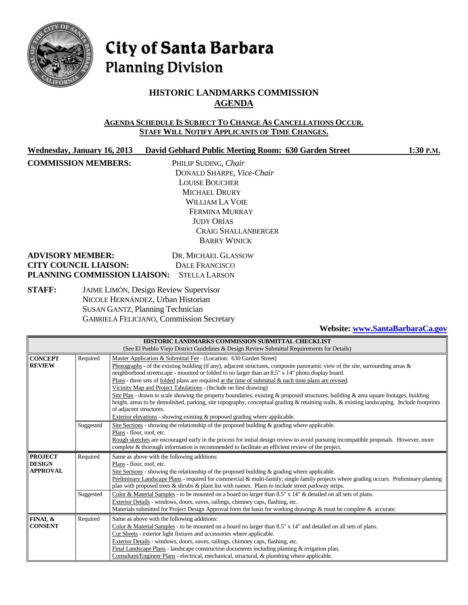

# City of Santa Barbara **Planning Division**

# **HISTORIC LANDMARKS COMMISSION AGENDA**

#### **AGENDA SCHEDULE IS SUBJECT TO CHANGE AS CANCELLATIONS OCCUR. STAFF WILL NOTIFY APPLICANTS OF TIME CHANGES.**

**Wednesday, January 16, 2013 David Gebhard Public Meeting Room: 630 Garden Street 1:30 P.M.**

**COMMISSION MEMBERS:** PHILIP SUDING, *Chair* DONALD SHARPE, *Vice-Chair* LOUISE BOUCHER MICHAEL DRURY WILLIAM LA VOIE FERMINA MURRAY JUDY ORÍAS CRAIG SHALLANBERGER BARRY WINICK

| <b>ADVISORY MEMBER:</b>                           | DR. MICHAEL GLASSOW |
|---------------------------------------------------|---------------------|
| <b>CITY COUNCIL LIAISON:</b>                      | DALE FRANCISCO      |
| <b>PLANNING COMMISSION LIAISON: STELLA LARSON</b> |                     |

#### **STAFF:** JAIME LIMÓN, Design Review Supervisor NICOLE HERNÁNDEZ, Urban Historian SUSAN GANTZ, Planning Technician GABRIELA FELICIANO, Commission Secretary

#### **Website[: www.SantaBarbaraCa.gov](http://www.santabarbaraca.gov/)**

| <b>HISTORIC LANDMARKS COMMISSION SUBMITTAL CHECKLIST</b>                                     |                                                                                                               |                                                                                                                                             |  |  |
|----------------------------------------------------------------------------------------------|---------------------------------------------------------------------------------------------------------------|---------------------------------------------------------------------------------------------------------------------------------------------|--|--|
| (See El Pueblo Viejo District Guidelines & Design Review Submittal Requirements for Details) |                                                                                                               |                                                                                                                                             |  |  |
| <b>CONCEPT</b>                                                                               | Required                                                                                                      | Master Application & Submittal Fee - (Location: 630 Garden Street)                                                                          |  |  |
| <b>REVIEW</b>                                                                                |                                                                                                               | Photographs - of the existing building (if any), adjacent structures, composite panoramic view of the site, surrounding areas $\&$          |  |  |
|                                                                                              |                                                                                                               | neighborhood streetscape - mounted or folded to no larger than an 8.5" x 14" photo display board.                                           |  |  |
|                                                                                              |                                                                                                               | Plans - three sets of folded plans are required at the time of submittal $\&$ each time plans are revised.                                  |  |  |
|                                                                                              |                                                                                                               | Vicinity Map and Project Tabulations - (Include on first drawing)                                                                           |  |  |
|                                                                                              |                                                                                                               | Site Plan - drawn to scale showing the property boundaries, existing $\&$ proposed structures, building $\&$ area square footages, building |  |  |
|                                                                                              |                                                                                                               | height, areas to be demolished, parking, site topography, conceptual grading & retaining walls, & existing landscaping. Include footprints  |  |  |
|                                                                                              | of adjacent structures.                                                                                       |                                                                                                                                             |  |  |
|                                                                                              | Exterior elevations - showing existing & proposed grading where applicable.                                   |                                                                                                                                             |  |  |
|                                                                                              | Site Sections - showing the relationship of the proposed building $\&$ grading where applicable.<br>Suggested |                                                                                                                                             |  |  |
|                                                                                              |                                                                                                               | Plans - floor, roof, etc.                                                                                                                   |  |  |
|                                                                                              |                                                                                                               | Rough sketches are encouraged early in the process for initial design review to avoid pursuing incompatible proposals. However, more        |  |  |
|                                                                                              |                                                                                                               | complete & thorough information is recommended to facilitate an efficient review of the project.                                            |  |  |
| <b>PROJECT</b>                                                                               | Required                                                                                                      | Same as above with the following additions:                                                                                                 |  |  |
| <b>DESIGN</b><br>Plans - floor, roof, etc.                                                   |                                                                                                               |                                                                                                                                             |  |  |
| <b>APPROVAL</b>                                                                              |                                                                                                               | Site Sections - showing the relationship of the proposed building $\&$ grading where applicable.                                            |  |  |
|                                                                                              |                                                                                                               | Preliminary Landscape Plans - required for commercial & multi-family; single family projects where grading occurs. Preliminary planting     |  |  |
|                                                                                              | plan with proposed trees & shrubs & plant list with names. Plans to include street parkway strips.            |                                                                                                                                             |  |  |
| Suggested                                                                                    |                                                                                                               | Color & Material Samples - to be mounted on a board no larger than 8.5" x 14" & detailed on all sets of plans.                              |  |  |
|                                                                                              |                                                                                                               | Exterior Details - windows, doors, eaves, railings, chimney caps, flashing, etc.                                                            |  |  |
|                                                                                              |                                                                                                               | Materials submitted for Project Design Approval form the basis for working drawings & must be complete & accurate.                          |  |  |
| FINAL &                                                                                      | Required                                                                                                      | Same as above with the following additions:                                                                                                 |  |  |
| <b>CONSENT</b>                                                                               |                                                                                                               | Color & Material Samples - to be mounted on a board no larger than 8.5" x 14" and detailed on all sets of plans.                            |  |  |
|                                                                                              |                                                                                                               | Cut Sheets - exterior light fixtures and accessories where applicable.                                                                      |  |  |
|                                                                                              |                                                                                                               | Exterior Details - windows, doors, eaves, railings, chimney caps, flashing, etc.                                                            |  |  |
|                                                                                              |                                                                                                               | Final Landscape Plans - landscape construction documents including planting & irrigation plan.                                              |  |  |
|                                                                                              |                                                                                                               | Consultant/Engineer Plans - electrical, mechanical, structural, & plumbing where applicable.                                                |  |  |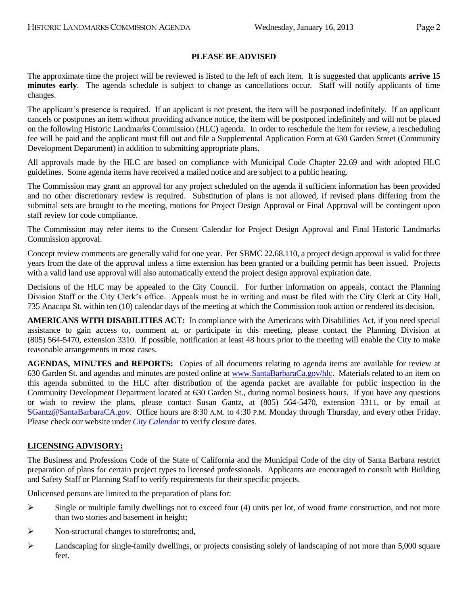#### **PLEASE BE ADVISED**

The approximate time the project will be reviewed is listed to the left of each item. It is suggested that applicants **arrive 15 minutes early**. The agenda schedule is subject to change as cancellations occur. Staff will notify applicants of time changes.

The applicant's presence is required. If an applicant is not present, the item will be postponed indefinitely. If an applicant cancels or postpones an item without providing advance notice, the item will be postponed indefinitely and will not be placed on the following Historic Landmarks Commission (HLC) agenda. In order to reschedule the item for review, a rescheduling fee will be paid and the applicant must fill out and file a Supplemental Application Form at 630 Garden Street (Community Development Department) in addition to submitting appropriate plans.

All approvals made by the HLC are based on compliance with Municipal Code Chapter 22.69 and with adopted HLC guidelines. Some agenda items have received a mailed notice and are subject to a public hearing.

The Commission may grant an approval for any project scheduled on the agenda if sufficient information has been provided and no other discretionary review is required. Substitution of plans is not allowed, if revised plans differing from the submittal sets are brought to the meeting, motions for Project Design Approval or Final Approval will be contingent upon staff review for code compliance.

The Commission may refer items to the Consent Calendar for Project Design Approval and Final Historic Landmarks Commission approval.

Concept review comments are generally valid for one year. Per SBMC 22.68.110, a project design approval is valid for three years from the date of the approval unless a time extension has been granted or a building permit has been issued. Projects with a valid land use approval will also automatically extend the project design approval expiration date.

Decisions of the HLC may be appealed to the City Council. For further information on appeals, contact the Planning Division Staff or the City Clerk's office. Appeals must be in writing and must be filed with the City Clerk at City Hall, 735 Anacapa St. within ten (10) calendar days of the meeting at which the Commission took action or rendered its decision.

**AMERICANS WITH DISABILITIES ACT:** In compliance with the Americans with Disabilities Act, if you need special assistance to gain access to, comment at, or participate in this meeting, please contact the Planning Division at (805) 564-5470, extension 3310. If possible, notification at least 48 hours prior to the meeting will enable the City to make reasonable arrangements in most cases.

**AGENDAS, MINUTES and REPORTS:** Copies of all documents relating to agenda items are available for review at 630 Garden St. and agendas and minutes are posted online at [www.SantaBarbaraCa.gov/hlc.](http://www.santabarbaraca.gov/hlc) Materials related to an item on this agenda submitted to the HLC after distribution of the agenda packet are available for public inspection in the Community Development Department located at 630 Garden St., during normal business hours. If you have any questions or wish to review the plans, please contact Susan Gantz, at (805) 564-5470, extension 3311, or by email at [SGantz@SantaBarbaraCA.gov.](mailto:SGantz@SantaBarbaraCA.gov) Office hours are 8:30 A.M. to 4:30 P.M. Monday through Thursday, and every other Friday. Please check our website under *City Calendar* to verify closure dates.

#### **LICENSING ADVISORY:**

The Business and Professions Code of the State of California and the Municipal Code of the city of Santa Barbara restrict preparation of plans for certain project types to licensed professionals. Applicants are encouraged to consult with Building and Safety Staff or Planning Staff to verify requirements for their specific projects.

Unlicensed persons are limited to the preparation of plans for:

- $\triangleright$  Single or multiple family dwellings not to exceed four (4) units per lot, of wood frame construction, and not more than two stories and basement in height;
- $\triangleright$  Non-structural changes to storefronts; and,
- $\blacktriangleright$  Landscaping for single-family dwellings, or projects consisting solely of landscaping of not more than 5,000 square feet.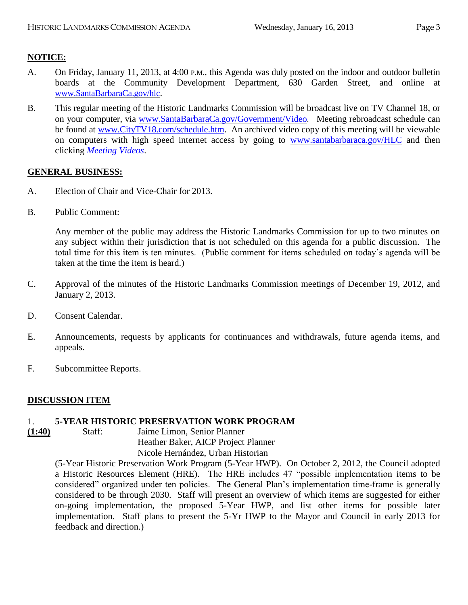# **NOTICE:**

- A. On Friday, January 11, 2013, at 4:00 P.M., this Agenda was duly posted on the indoor and outdoor bulletin boards at the Community Development Department, 630 Garden Street, and online at [www.SantaBarbaraCa.gov/hlc](http://www.santabarbaraca.gov/hlc).
- B. This regular meeting of the Historic Landmarks Commission will be broadcast live on TV Channel 18, or on your computer, via [www.SantaBarbaraCa.gov/Government/Video](http://www.santabarbaraca.gov/Government/Video). Meeting rebroadcast schedule can be found at [www.CityTV18.com/schedule.htm.](http://www.citytv18.com/schedule.htm) An archived video copy of this meeting will be viewable on computers with high speed internet access by going to [www.santabarbaraca.gov/HLC](http://www.santabarbaraca.gov/HLC) and then clicking *Meeting Videos*.

## **GENERAL BUSINESS:**

- A. Election of Chair and Vice-Chair for 2013.
- B. Public Comment:

Any member of the public may address the Historic Landmarks Commission for up to two minutes on any subject within their jurisdiction that is not scheduled on this agenda for a public discussion. The total time for this item is ten minutes. (Public comment for items scheduled on today's agenda will be taken at the time the item is heard.)

- C. Approval of the minutes of the Historic Landmarks Commission meetings of December 19, 2012, and January 2, 2013.
- D. Consent Calendar.
- E. Announcements, requests by applicants for continuances and withdrawals, future agenda items, and appeals.
- F. Subcommittee Reports.

## **DISCUSSION ITEM**

#### 1. **5-YEAR HISTORIC PRESERVATION WORK PROGRAM**

**(1:40)** Staff: Jaime Limon, Senior Planner Heather Baker, AICP Project Planner Nicole Hernández, Urban Historian

> (5-Year Historic Preservation Work Program (5-Year HWP). On October 2, 2012, the Council adopted a Historic Resources Element (HRE). The HRE includes 47 "possible implementation items to be considered" organized under ten policies. The General Plan's implementation time-frame is generally considered to be through 2030. Staff will present an overview of which items are suggested for either on-going implementation, the proposed 5-Year HWP, and list other items for possible later implementation. Staff plans to present the 5-Yr HWP to the Mayor and Council in early 2013 for feedback and direction.)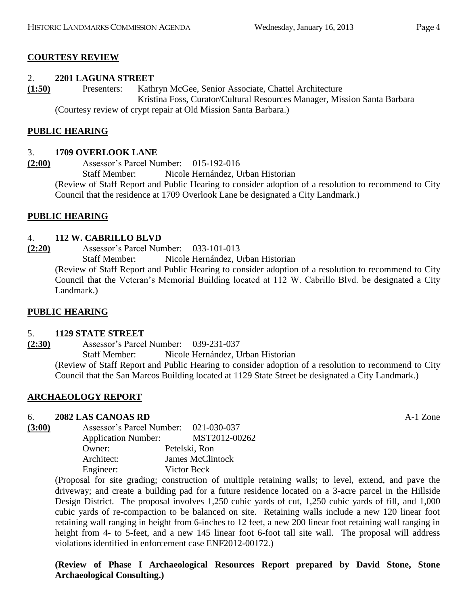# **COURTESY REVIEW**

# 2. **2201 LAGUNA STREET**

**(1:50)** Presenters: Kathryn McGee, Senior Associate, Chattel Architecture Kristina Foss, Curator/Cultural Resources Manager, Mission Santa Barbara (Courtesy review of crypt repair at Old Mission Santa Barbara.)

## **PUBLIC HEARING**

## 3. **1709 OVERLOOK LANE**

**(2:00)** Assessor's Parcel Number: 015-192-016 Staff Member: Nicole Hernández, Urban Historian (Review of Staff Report and Public Hearing to consider adoption of a resolution to recommend to City Council that the residence at 1709 Overlook Lane be designated a City Landmark.)

## **PUBLIC HEARING**

## 4. **112 W. CABRILLO BLVD**

**(2:20)** Assessor's Parcel Number: 033-101-013 Staff Member: Nicole Hernández, Urban Historian (Review of Staff Report and Public Hearing to consider adoption of a resolution to recommend to City Council that the Veteran's Memorial Building located at 112 W. Cabrillo Blvd. be designated a City Landmark.)

## **PUBLIC HEARING**

## 5. **1129 STATE STREET**

**(2:30)** Assessor's Parcel Number: 039-231-037 Staff Member: Nicole Hernández, Urban Historian (Review of Staff Report and Public Hearing to consider adoption of a resolution to recommend to City Council that the San Marcos Building located at 1129 State Street be designated a City Landmark.)

## **ARCHAEOLOGY REPORT**

## 6. **2082 LAS CANOAS RD** A-1 Zone

**(3:00)** Assessor's Parcel Number: 021-030-037 Application Number: MST2012-00262 Owner: Petelski, Ron Architect: James McClintock Engineer: Victor Beck

> (Proposal for site grading; construction of multiple retaining walls; to level, extend, and pave the driveway; and create a building pad for a future residence located on a 3-acre parcel in the Hillside Design District. The proposal involves 1,250 cubic yards of cut, 1,250 cubic yards of fill, and 1,000 cubic yards of re-compaction to be balanced on site. Retaining walls include a new 120 linear foot retaining wall ranging in height from 6-inches to 12 feet, a new 200 linear foot retaining wall ranging in height from 4- to 5-feet, and a new 145 linear foot 6-foot tall site wall. The proposal will address violations identified in enforcement case ENF2012-00172.)

> **(Review of Phase I Archaeological Resources Report prepared by David Stone, Stone Archaeological Consulting.)**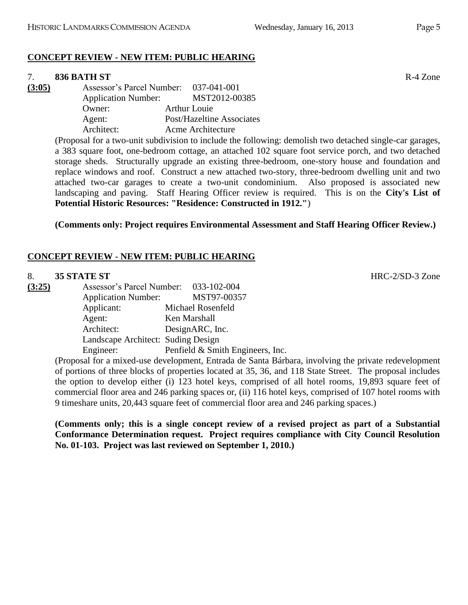## **CONCEPT REVIEW - NEW ITEM: PUBLIC HEARING**

#### 7. **836 BATH ST** R-4 Zone

**(3:05)** Assessor's Parcel Number: 037-041-001 Application Number: MST2012-00385 Owner: Arthur Louie Agent: Post/Hazeltine Associates Architect: Acme Architecture

> (Proposal for a two-unit subdivision to include the following: demolish two detached single-car garages, a 383 square foot, one-bedroom cottage, an attached 102 square foot service porch, and two detached storage sheds. Structurally upgrade an existing three-bedroom, one-story house and foundation and replace windows and roof. Construct a new attached two-story, three-bedroom dwelling unit and two attached two-car garages to create a two-unit condominium. Also proposed is associated new landscaping and paving. Staff Hearing Officer review is required. This is on the **City's List of Potential Historic Resources: "Residence: Constructed in 1912."**)

**(Comments only: Project requires Environmental Assessment and Staff Hearing Officer Review.)**

## **CONCEPT REVIEW - NEW ITEM: PUBLIC HEARING**

#### 8. **35 STATE ST** HRC-2/SD-3 Zone

| (3:25) | Assessor's Parcel Number: 033-102-004 |                                  |
|--------|---------------------------------------|----------------------------------|
|        | <b>Application Number:</b>            | MST97-00357                      |
|        | Applicant:                            | Michael Rosenfeld                |
|        | Agent:                                | Ken Marshall                     |
|        | Architect:                            | DesignARC, Inc.                  |
|        | Landscape Architect: Suding Design    |                                  |
|        | Engineer:                             | Penfield & Smith Engineers, Inc. |

(Proposal for a mixed-use development, Entrada de Santa Bárbara, involving the private redevelopment of portions of three blocks of properties located at 35, 36, and 118 State Street. The proposal includes the option to develop either (i) 123 hotel keys, comprised of all hotel rooms, 19,893 square feet of commercial floor area and 246 parking spaces or, (ii) 116 hotel keys, comprised of 107 hotel rooms with 9 timeshare units, 20,443 square feet of commercial floor area and 246 parking spaces.)

**(Comments only; this is a single concept review of a revised project as part of a Substantial Conformance Determination request. Project requires compliance with City Council Resolution No. 01-103. Project was last reviewed on September 1, 2010.)**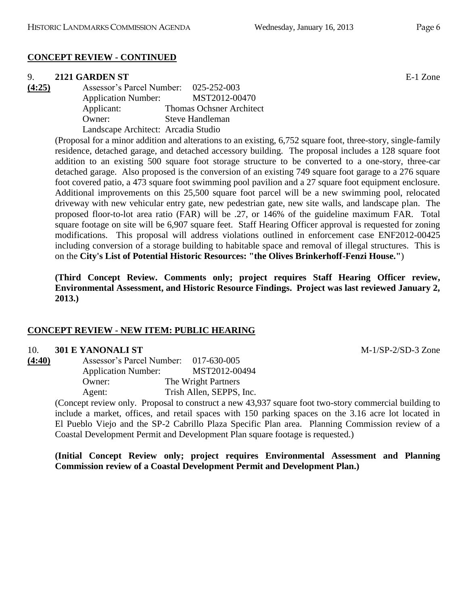#### **CONCEPT REVIEW - CONTINUED**

#### 9. **2121 GARDEN ST** E-1 Zone

**(4:25)** Assessor's Parcel Number: 025-252-003 Application Number: MST2012-00470 Applicant: Thomas Ochsner Architect Owner: Steve Handleman Landscape Architect: Arcadia Studio

> (Proposal for a minor addition and alterations to an existing, 6,752 square foot, three-story, single-family residence, detached garage, and detached accessory building. The proposal includes a 128 square foot addition to an existing 500 square foot storage structure to be converted to a one-story, three-car detached garage. Also proposed is the conversion of an existing 749 square foot garage to a 276 square foot covered patio, a 473 square foot swimming pool pavilion and a 27 square foot equipment enclosure. Additional improvements on this 25,500 square foot parcel will be a new swimming pool, relocated driveway with new vehicular entry gate, new pedestrian gate, new site walls, and landscape plan. The proposed floor-to-lot area ratio (FAR) will be .27, or 146% of the guideline maximum FAR. Total square footage on site will be 6,907 square feet. Staff Hearing Officer approval is requested for zoning modifications. This proposal will address violations outlined in enforcement case ENF2012-00425 including conversion of a storage building to habitable space and removal of illegal structures. This is on the **City's List of Potential Historic Resources: "the Olives Brinkerhoff-Fenzi House."**)

> **(Third Concept Review. Comments only; project requires Staff Hearing Officer review, Environmental Assessment, and Historic Resource Findings. Project was last reviewed January 2, 2013.)**

#### **CONCEPT REVIEW - NEW ITEM: PUBLIC HEARING**

#### 10. **301 E YANONALI ST** M-1/SP-2/SD-3 Zone

| (4:40) | Assessor's Parcel Number:  | 017-630-005              |
|--------|----------------------------|--------------------------|
|        | <b>Application Number:</b> | MST2012-00494            |
|        | Owner:                     | The Wright Partners      |
|        | Agent:                     | Trish Allen, SEPPS, Inc. |

(Concept review only. Proposal to construct a new 43,937 square foot two-story commercial building to include a market, offices, and retail spaces with 150 parking spaces on the 3.16 acre lot located in El Pueblo Viejo and the SP-2 Cabrillo Plaza Specific Plan area. Planning Commission review of a Coastal Development Permit and Development Plan square footage is requested.)

**(Initial Concept Review only; project requires Environmental Assessment and Planning Commission review of a Coastal Development Permit and Development Plan.)**